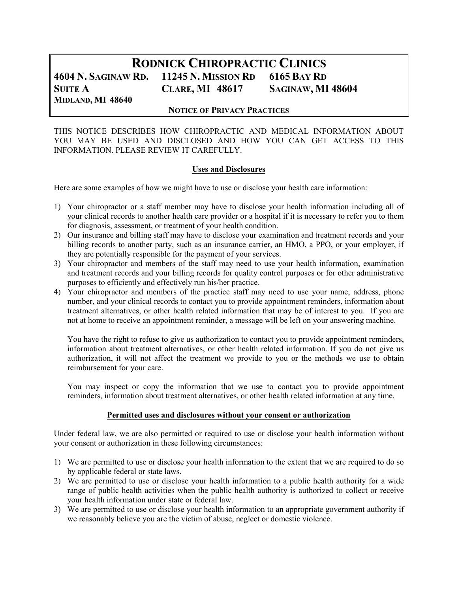# RODNICK CHIROPRACTIC CLINICS 4604 N. SAGINAW RD. 11245 N. MISSION RD 6165 BAY RD SUITE A CLARE, MI 48617 SAGINAW, MI 48604 MIDLAND, MI 48640

#### NOTICE OF PRIVACY PRACTICES

THIS NOTICE DESCRIBES HOW CHIROPRACTIC AND MEDICAL INFORMATION ABOUT YOU MAY BE USED AND DISCLOSED AND HOW YOU CAN GET ACCESS TO THIS INFORMATION. PLEASE REVIEW IT CAREFULLY.

#### Uses and Disclosures

Here are some examples of how we might have to use or disclose your health care information:

- 1) Your chiropractor or a staff member may have to disclose your health information including all of your clinical records to another health care provider or a hospital if it is necessary to refer you to them for diagnosis, assessment, or treatment of your health condition.
- 2) Our insurance and billing staff may have to disclose your examination and treatment records and your billing records to another party, such as an insurance carrier, an HMO, a PPO, or your employer, if they are potentially responsible for the payment of your services.
- 3) Your chiropractor and members of the staff may need to use your health information, examination and treatment records and your billing records for quality control purposes or for other administrative purposes to efficiently and effectively run his/her practice.
- 4) Your chiropractor and members of the practice staff may need to use your name, address, phone number, and your clinical records to contact you to provide appointment reminders, information about treatment alternatives, or other health related information that may be of interest to you. If you are not at home to receive an appointment reminder, a message will be left on your answering machine.

You have the right to refuse to give us authorization to contact you to provide appointment reminders, information about treatment alternatives, or other health related information. If you do not give us authorization, it will not affect the treatment we provide to you or the methods we use to obtain reimbursement for your care.

You may inspect or copy the information that we use to contact you to provide appointment reminders, information about treatment alternatives, or other health related information at any time.

#### Permitted uses and disclosures without your consent or authorization

Under federal law, we are also permitted or required to use or disclose your health information without your consent or authorization in these following circumstances:

- 1) We are permitted to use or disclose your health information to the extent that we are required to do so by applicable federal or state laws.
- 2) We are permitted to use or disclose your health information to a public health authority for a wide range of public health activities when the public health authority is authorized to collect or receive your health information under state or federal law.
- 3) We are permitted to use or disclose your health information to an appropriate government authority if we reasonably believe you are the victim of abuse, neglect or domestic violence.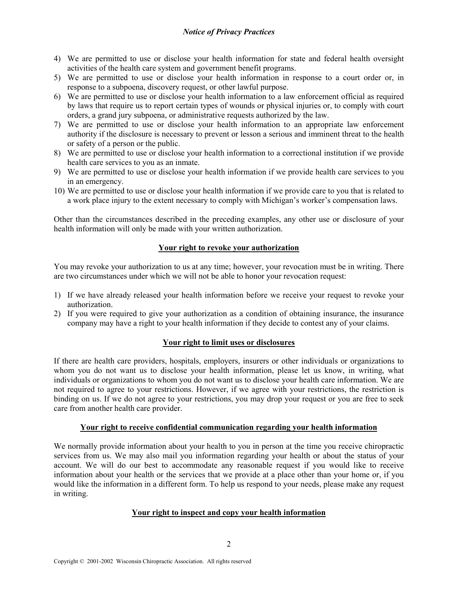# Notice of Privacy Practices

- 4) We are permitted to use or disclose your health information for state and federal health oversight activities of the health care system and government benefit programs.
- 5) We are permitted to use or disclose your health information in response to a court order or, in response to a subpoena, discovery request, or other lawful purpose.
- 6) We are permitted to use or disclose your health information to a law enforcement official as required by laws that require us to report certain types of wounds or physical injuries or, to comply with court orders, a grand jury subpoena, or administrative requests authorized by the law.
- 7) We are permitted to use or disclose your health information to an appropriate law enforcement authority if the disclosure is necessary to prevent or lesson a serious and imminent threat to the health or safety of a person or the public.
- 8) We are permitted to use or disclose your health information to a correctional institution if we provide health care services to you as an inmate.
- 9) We are permitted to use or disclose your health information if we provide health care services to you in an emergency.
- 10) We are permitted to use or disclose your health information if we provide care to you that is related to a work place injury to the extent necessary to comply with Michigan's worker's compensation laws.

Other than the circumstances described in the preceding examples, any other use or disclosure of your health information will only be made with your written authorization.

## Your right to revoke your authorization

You may revoke your authorization to us at any time; however, your revocation must be in writing. There are two circumstances under which we will not be able to honor your revocation request:

- 1) If we have already released your health information before we receive your request to revoke your authorization.
- 2) If you were required to give your authorization as a condition of obtaining insurance, the insurance company may have a right to your health information if they decide to contest any of your claims.

#### Your right to limit uses or disclosures

If there are health care providers, hospitals, employers, insurers or other individuals or organizations to whom you do not want us to disclose your health information, please let us know, in writing, what individuals or organizations to whom you do not want us to disclose your health care information. We are not required to agree to your restrictions. However, if we agree with your restrictions, the restriction is binding on us. If we do not agree to your restrictions, you may drop your request or you are free to seek care from another health care provider.

#### Your right to receive confidential communication regarding your health information

We normally provide information about your health to you in person at the time you receive chiropractic services from us. We may also mail you information regarding your health or about the status of your account. We will do our best to accommodate any reasonable request if you would like to receive information about your health or the services that we provide at a place other than your home or, if you would like the information in a different form. To help us respond to your needs, please make any request in writing.

#### Your right to inspect and copy your health information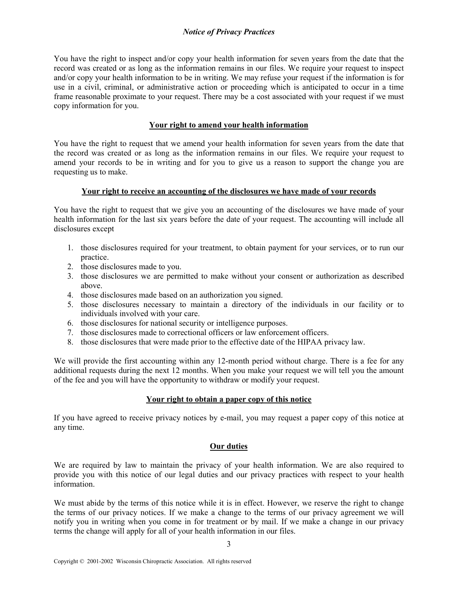## Notice of Privacy Practices

You have the right to inspect and/or copy your health information for seven years from the date that the record was created or as long as the information remains in our files. We require your request to inspect and/or copy your health information to be in writing. We may refuse your request if the information is for use in a civil, criminal, or administrative action or proceeding which is anticipated to occur in a time frame reasonable proximate to your request. There may be a cost associated with your request if we must copy information for you.

#### Your right to amend your health information

You have the right to request that we amend your health information for seven years from the date that the record was created or as long as the information remains in our files. We require your request to amend your records to be in writing and for you to give us a reason to support the change you are requesting us to make.

## Your right to receive an accounting of the disclosures we have made of your records

You have the right to request that we give you an accounting of the disclosures we have made of your health information for the last six years before the date of your request. The accounting will include all disclosures except

- 1. those disclosures required for your treatment, to obtain payment for your services, or to run our practice.
- 2. those disclosures made to you.
- 3. those disclosures we are permitted to make without your consent or authorization as described above.
- 4. those disclosures made based on an authorization you signed.
- 5. those disclosures necessary to maintain a directory of the individuals in our facility or to individuals involved with your care.
- 6. those disclosures for national security or intelligence purposes.
- 7. those disclosures made to correctional officers or law enforcement officers.
- 8. those disclosures that were made prior to the effective date of the HIPAA privacy law.

We will provide the first accounting within any 12-month period without charge. There is a fee for any additional requests during the next 12 months. When you make your request we will tell you the amount of the fee and you will have the opportunity to withdraw or modify your request.

#### Your right to obtain a paper copy of this notice

If you have agreed to receive privacy notices by e-mail, you may request a paper copy of this notice at any time.

#### Our duties

We are required by law to maintain the privacy of your health information. We are also required to provide you with this notice of our legal duties and our privacy practices with respect to your health information.

We must abide by the terms of this notice while it is in effect. However, we reserve the right to change the terms of our privacy notices. If we make a change to the terms of our privacy agreement we will notify you in writing when you come in for treatment or by mail. If we make a change in our privacy terms the change will apply for all of your health information in our files.